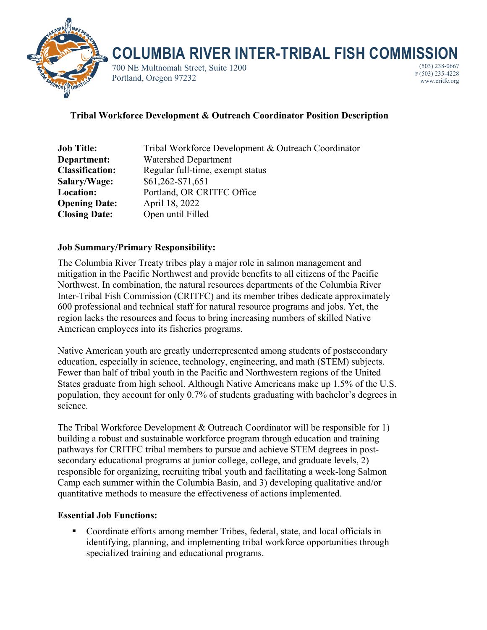

# **COLUMBIA RIVER INTER-TRIBAL FISH COMMISSION**

700 NE Multnomah Street, Suite 1200 Portland, Oregon 97232

(503) 238-0667 F (503) 235-4228 www.critfc.org

## **Tribal Workforce Development & Outreach Coordinator Position Description**

| <b>Job Title:</b>      | Tribal Workforce Development & Outreach Coordinator |
|------------------------|-----------------------------------------------------|
| Department:            | <b>Watershed Department</b>                         |
| <b>Classification:</b> | Regular full-time, exempt status                    |
| Salary/Wage:           | \$61,262-\$71,651                                   |
| Location:              | Portland, OR CRITFC Office                          |
| <b>Opening Date:</b>   | April 18, 2022                                      |
| <b>Closing Date:</b>   | Open until Filled                                   |

## **Job Summary/Primary Responsibility:**

The Columbia River Treaty tribes play a major role in salmon management and mitigation in the Pacific Northwest and provide benefits to all citizens of the Pacific Northwest. In combination, the natural resources departments of the Columbia River Inter-Tribal Fish Commission (CRITFC) and its member tribes dedicate approximately 600 professional and technical staff for natural resource programs and jobs. Yet, the region lacks the resources and focus to bring increasing numbers of skilled Native American employees into its fisheries programs.

Native American youth are greatly underrepresented among students of postsecondary education, especially in science, technology, engineering, and math (STEM) subjects. Fewer than half of tribal youth in the Pacific and Northwestern regions of the United States graduate from high school. Although Native Americans make up 1.5% of the U.S. population, they account for only 0.7% of students graduating with bachelor's degrees in science.

The Tribal Workforce Development & Outreach Coordinator will be responsible for 1) building a robust and sustainable workforce program through education and training pathways for CRITFC tribal members to pursue and achieve STEM degrees in postsecondary educational programs at junior college, college, and graduate levels, 2) responsible for organizing, recruiting tribal youth and facilitating a week-long Salmon Camp each summer within the Columbia Basin, and 3) developing qualitative and/or quantitative methods to measure the effectiveness of actions implemented.

## **Essential Job Functions:**

• Coordinate efforts among member Tribes, federal, state, and local officials in identifying, planning, and implementing tribal workforce opportunities through specialized training and educational programs.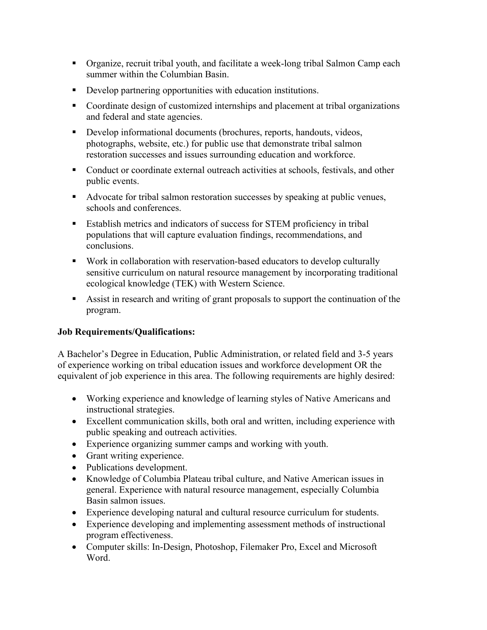- § Organize, recruit tribal youth, and facilitate a week-long tribal Salmon Camp each summer within the Columbian Basin.
- Develop partnering opportunities with education institutions.
- Coordinate design of customized internships and placement at tribal organizations and federal and state agencies.
- Develop informational documents (brochures, reports, handouts, videos, photographs, website, etc.) for public use that demonstrate tribal salmon restoration successes and issues surrounding education and workforce.
- Conduct or coordinate external outreach activities at schools, festivals, and other public events.
- Advocate for tribal salmon restoration successes by speaking at public venues, schools and conferences.
- Establish metrics and indicators of success for STEM proficiency in tribal populations that will capture evaluation findings, recommendations, and conclusions.
- Work in collaboration with reservation-based educators to develop culturally sensitive curriculum on natural resource management by incorporating traditional ecological knowledge (TEK) with Western Science.
- § Assist in research and writing of grant proposals to support the continuation of the program.

## **Job Requirements/Qualifications:**

A Bachelor's Degree in Education, Public Administration, or related field and 3-5 years of experience working on tribal education issues and workforce development OR the equivalent of job experience in this area. The following requirements are highly desired:

- Working experience and knowledge of learning styles of Native Americans and instructional strategies.
- Excellent communication skills, both oral and written, including experience with public speaking and outreach activities.
- Experience organizing summer camps and working with youth.
- Grant writing experience.
- Publications development.
- Knowledge of Columbia Plateau tribal culture, and Native American issues in general. Experience with natural resource management, especially Columbia Basin salmon issues.
- Experience developing natural and cultural resource curriculum for students.
- Experience developing and implementing assessment methods of instructional program effectiveness.
- Computer skills: In-Design, Photoshop, Filemaker Pro, Excel and Microsoft Word.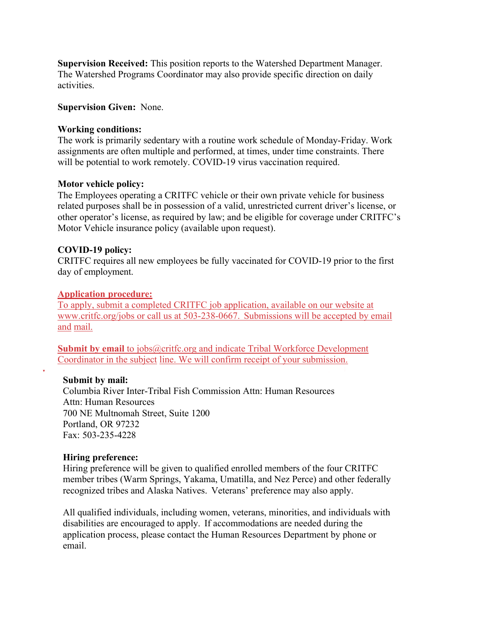**Supervision Received:** This position reports to the Watershed Department Manager. The Watershed Programs Coordinator may also provide specific direction on daily activities.

#### **Supervision Given:** None.

#### **Working conditions:**

The work is primarily sedentary with a routine work schedule of Monday-Friday. Work assignments are often multiple and performed, at times, under time constraints. There will be potential to work remotely. COVID-19 virus vaccination required.

#### **Motor vehicle policy:**

The Employees operating a CRITFC vehicle or their own private vehicle for business related purposes shall be in possession of a valid, unrestricted current driver's license, or other operator's license, as required by law; and be eligible for coverage under CRITFC's Motor Vehicle insurance policy (available upon request).

#### **COVID-19 policy:**

CRITFC requires all new employees be fully vaccinated for COVID-19 prior to the first day of employment.

#### **Application procedure:**

To apply, submit a completed CRITFC job application, available on our website at www.critfc.org/jobs or call us at 503-238-0667. Submissions will be accepted by email and mail.

**Submit by email to jobs@critfc.org and indicate Tribal Workforce Development** Coordinator in the subject line. We will confirm receipt of your submission.

#### **Submit by mail:**

 $\overline{\mathbf{v}}$ 

Columbia River Inter-Tribal Fish Commission Attn: Human Resources Attn: Human Resources 700 NE Multnomah Street, Suite 1200 Portland, OR 97232 Fax: 503-235-4228

#### **Hiring preference:**

Hiring preference will be given to qualified enrolled members of the four CRITFC member tribes (Warm Springs, Yakama, Umatilla, and Nez Perce) and other federally recognized tribes and Alaska Natives. Veterans' preference may also apply.

All qualified individuals, including women, veterans, minorities, and individuals with disabilities are encouraged to apply. If accommodations are needed during the application process, please contact the Human Resources Department by phone or email.